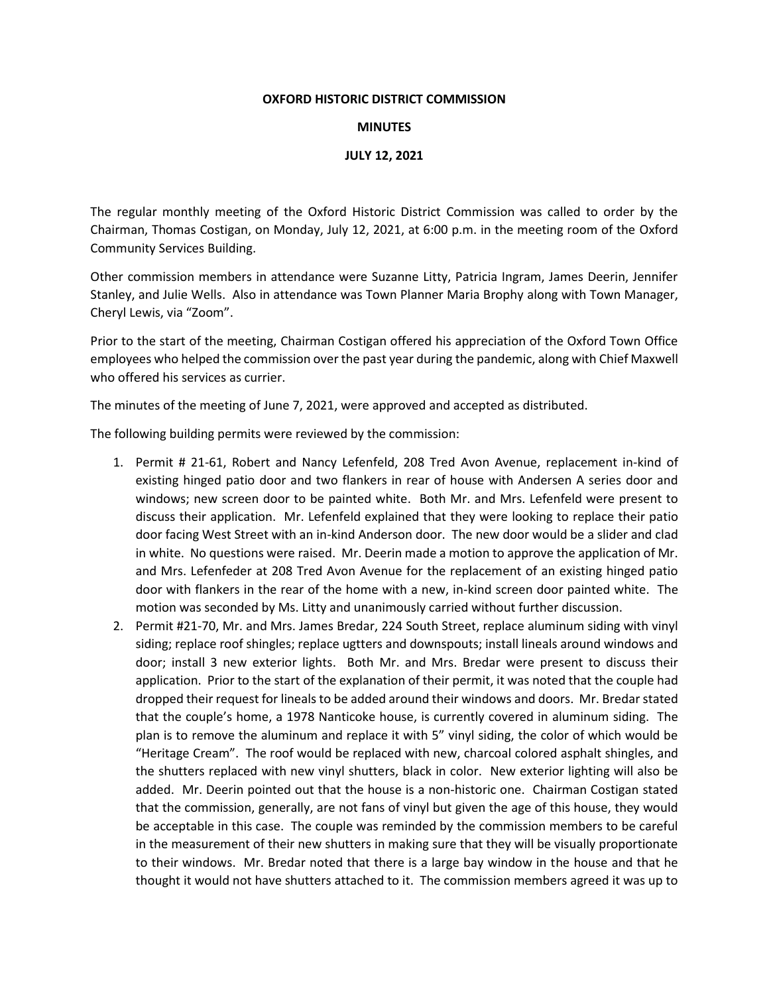#### **OXFORD HISTORIC DISTRICT COMMISSION**

#### **MINUTES**

# **JULY 12, 2021**

The regular monthly meeting of the Oxford Historic District Commission was called to order by the Chairman, Thomas Costigan, on Monday, July 12, 2021, at 6:00 p.m. in the meeting room of the Oxford Community Services Building.

Other commission members in attendance were Suzanne Litty, Patricia Ingram, James Deerin, Jennifer Stanley, and Julie Wells. Also in attendance was Town Planner Maria Brophy along with Town Manager, Cheryl Lewis, via "Zoom".

Prior to the start of the meeting, Chairman Costigan offered his appreciation of the Oxford Town Office employees who helped the commission over the past year during the pandemic, along with Chief Maxwell who offered his services as currier.

The minutes of the meeting of June 7, 2021, were approved and accepted as distributed.

The following building permits were reviewed by the commission:

- 1. Permit # 21-61, Robert and Nancy Lefenfeld, 208 Tred Avon Avenue, replacement in-kind of existing hinged patio door and two flankers in rear of house with Andersen A series door and windows; new screen door to be painted white. Both Mr. and Mrs. Lefenfeld were present to discuss their application. Mr. Lefenfeld explained that they were looking to replace their patio door facing West Street with an in-kind Anderson door. The new door would be a slider and clad in white. No questions were raised. Mr. Deerin made a motion to approve the application of Mr. and Mrs. Lefenfeder at 208 Tred Avon Avenue for the replacement of an existing hinged patio door with flankers in the rear of the home with a new, in-kind screen door painted white. The motion was seconded by Ms. Litty and unanimously carried without further discussion.
- 2. Permit #21-70, Mr. and Mrs. James Bredar, 224 South Street, replace aluminum siding with vinyl siding; replace roof shingles; replace ugtters and downspouts; install lineals around windows and door; install 3 new exterior lights. Both Mr. and Mrs. Bredar were present to discuss their application. Prior to the start of the explanation of their permit, it was noted that the couple had dropped their request for lineals to be added around their windows and doors. Mr. Bredar stated that the couple's home, a 1978 Nanticoke house, is currently covered in aluminum siding. The plan is to remove the aluminum and replace it with 5" vinyl siding, the color of which would be "Heritage Cream". The roof would be replaced with new, charcoal colored asphalt shingles, and the shutters replaced with new vinyl shutters, black in color. New exterior lighting will also be added. Mr. Deerin pointed out that the house is a non-historic one. Chairman Costigan stated that the commission, generally, are not fans of vinyl but given the age of this house, they would be acceptable in this case. The couple was reminded by the commission members to be careful in the measurement of their new shutters in making sure that they will be visually proportionate to their windows. Mr. Bredar noted that there is a large bay window in the house and that he thought it would not have shutters attached to it. The commission members agreed it was up to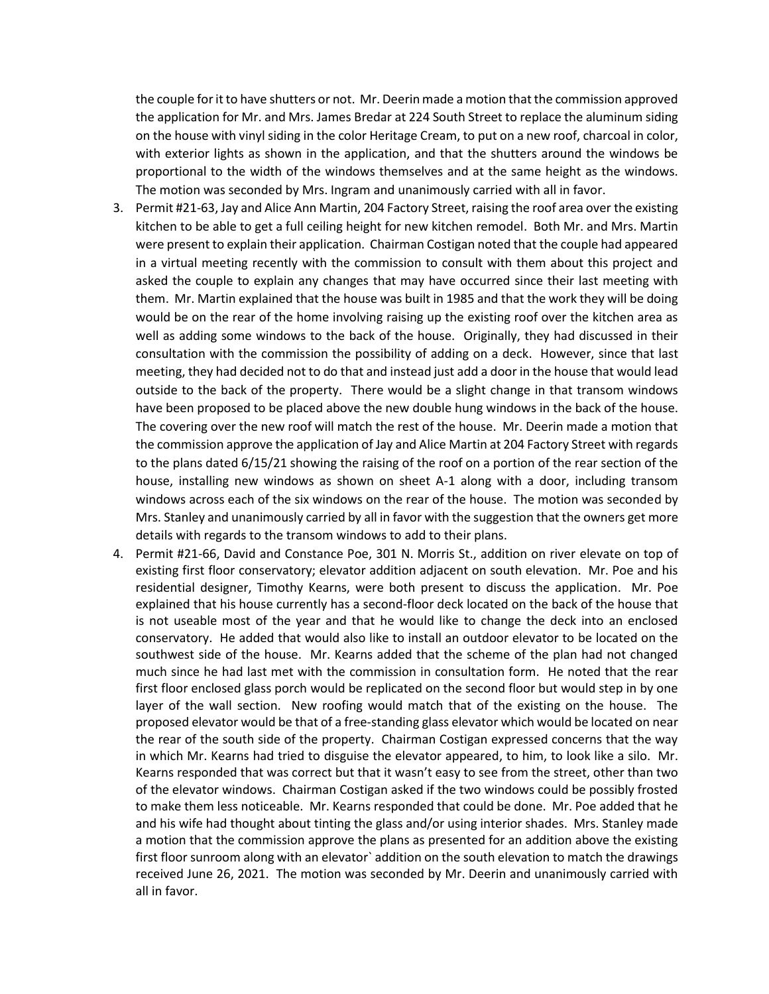the couple for it to have shutters or not. Mr. Deerin made a motion that the commission approved the application for Mr. and Mrs. James Bredar at 224 South Street to replace the aluminum siding on the house with vinyl siding in the color Heritage Cream, to put on a new roof, charcoal in color, with exterior lights as shown in the application, and that the shutters around the windows be proportional to the width of the windows themselves and at the same height as the windows. The motion was seconded by Mrs. Ingram and unanimously carried with all in favor.

- 3. Permit #21-63, Jay and Alice Ann Martin, 204 Factory Street, raising the roof area over the existing kitchen to be able to get a full ceiling height for new kitchen remodel. Both Mr. and Mrs. Martin were present to explain their application. Chairman Costigan noted that the couple had appeared in a virtual meeting recently with the commission to consult with them about this project and asked the couple to explain any changes that may have occurred since their last meeting with them. Mr. Martin explained that the house was built in 1985 and that the work they will be doing would be on the rear of the home involving raising up the existing roof over the kitchen area as well as adding some windows to the back of the house. Originally, they had discussed in their consultation with the commission the possibility of adding on a deck. However, since that last meeting, they had decided not to do that and instead just add a door in the house that would lead outside to the back of the property. There would be a slight change in that transom windows have been proposed to be placed above the new double hung windows in the back of the house. The covering over the new roof will match the rest of the house. Mr. Deerin made a motion that the commission approve the application of Jay and Alice Martin at 204 Factory Street with regards to the plans dated 6/15/21 showing the raising of the roof on a portion of the rear section of the house, installing new windows as shown on sheet A-1 along with a door, including transom windows across each of the six windows on the rear of the house. The motion was seconded by Mrs. Stanley and unanimously carried by all in favor with the suggestion that the owners get more details with regards to the transom windows to add to their plans.
- 4. Permit #21-66, David and Constance Poe, 301 N. Morris St., addition on river elevate on top of existing first floor conservatory; elevator addition adjacent on south elevation. Mr. Poe and his residential designer, Timothy Kearns, were both present to discuss the application. Mr. Poe explained that his house currently has a second-floor deck located on the back of the house that is not useable most of the year and that he would like to change the deck into an enclosed conservatory. He added that would also like to install an outdoor elevator to be located on the southwest side of the house. Mr. Kearns added that the scheme of the plan had not changed much since he had last met with the commission in consultation form. He noted that the rear first floor enclosed glass porch would be replicated on the second floor but would step in by one layer of the wall section. New roofing would match that of the existing on the house. The proposed elevator would be that of a free-standing glass elevator which would be located on near the rear of the south side of the property. Chairman Costigan expressed concerns that the way in which Mr. Kearns had tried to disguise the elevator appeared, to him, to look like a silo. Mr. Kearns responded that was correct but that it wasn't easy to see from the street, other than two of the elevator windows. Chairman Costigan asked if the two windows could be possibly frosted to make them less noticeable. Mr. Kearns responded that could be done. Mr. Poe added that he and his wife had thought about tinting the glass and/or using interior shades. Mrs. Stanley made a motion that the commission approve the plans as presented for an addition above the existing first floor sunroom along with an elevator` addition on the south elevation to match the drawings received June 26, 2021. The motion was seconded by Mr. Deerin and unanimously carried with all in favor.